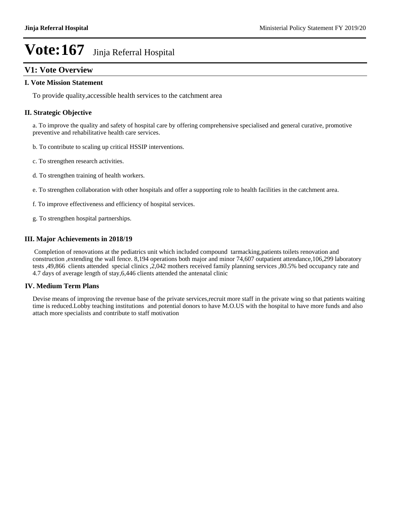# **V1: Vote Overview**

#### **I. Vote Mission Statement**

To provide quality,accessible health services to the catchment area

#### **II. Strategic Objective**

a. To improve the quality and safety of hospital care by offering comprehensive specialised and general curative, promotive preventive and rehabilitative health care services.

- b. To contribute to scaling up critical HSSIP interventions.
- c. To strengthen research activities.
- d. To strengthen training of health workers.
- e. To strengthen collaboration with other hospitals and offer a supporting role to health facilities in the catchment area.
- f. To improve effectiveness and efficiency of hospital services.
- g. To strengthen hospital partnerships.

#### **III. Major Achievements in 2018/19**

 Completion of renovations at the pediatrics unit which included compound tarmacking,patients toilets renovation and construction ,extending the wall fence. 8,194 operations both major and minor 74,607 outpatient attendance,106,299 laboratory tests ,49,866 clients attended special clinics ,2,042 mothers received family planning services ,80.5% bed occupancy rate and 4.7 days of average length of stay,6,446 clients attended the antenatal clinic

#### **IV. Medium Term Plans**

Devise means of improving the revenue base of the private services,recruit more staff in the private wing so that patients waiting time is reduced.Lobby teaching institutions and potential donors to have M.O.US with the hospital to have more funds and also attach more specialists and contribute to staff motivation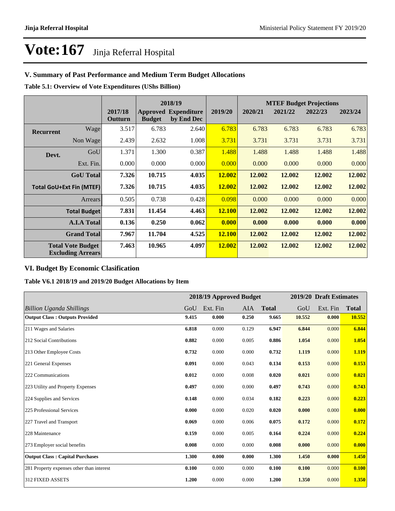# **V. Summary of Past Performance and Medium Term Budget Allocations**

**Table 5.1: Overview of Vote Expenditures (UShs Billion)**

|                  | 2018/19                                              |                    |               |                                           | <b>MTEF Budget Projections</b> |         |         |         |         |
|------------------|------------------------------------------------------|--------------------|---------------|-------------------------------------------|--------------------------------|---------|---------|---------|---------|
|                  |                                                      | 2017/18<br>Outturn | <b>Budget</b> | <b>Approved Expenditure</b><br>by End Dec | 2019/20                        | 2020/21 | 2021/22 | 2022/23 | 2023/24 |
| <b>Recurrent</b> | Wage                                                 | 3.517              | 6.783         | 2.640                                     | 6.783                          | 6.783   | 6.783   | 6.783   | 6.783   |
|                  | Non Wage                                             | 2.439              | 2.632         | 1.008                                     | 3.731                          | 3.731   | 3.731   | 3.731   | 3.731   |
| Devt.            | GoU                                                  | 1.371              | 1.300         | 0.387                                     | 1.488                          | 1.488   | 1.488   | 1.488   | 1.488   |
|                  | Ext. Fin.                                            | 0.000              | 0.000         | 0.000                                     | 0.000                          | 0.000   | 0.000   | 0.000   | 0.000   |
|                  | <b>GoU</b> Total                                     | 7.326              | 10.715        | 4.035                                     | 12.002                         | 12.002  | 12.002  | 12.002  | 12.002  |
|                  | <b>Total GoU+Ext Fin (MTEF)</b>                      | 7.326              | 10.715        | 4.035                                     | 12.002                         | 12.002  | 12.002  | 12.002  | 12.002  |
|                  | Arrears                                              | 0.505              | 0.738         | 0.428                                     | 0.098                          | 0.000   | 0.000   | 0.000   | 0.000   |
|                  | <b>Total Budget</b>                                  | 7.831              | 11.454        | 4.463                                     | <b>12.100</b>                  | 12.002  | 12.002  | 12.002  | 12.002  |
|                  | <b>A.I.A Total</b>                                   | 0.136              | 0.250         | 0.062                                     | 0.000                          | 0.000   | 0.000   | 0.000   | 0.000   |
|                  | <b>Grand Total</b>                                   | 7.967              | 11.704        | 4.525                                     | <b>12.100</b>                  | 12.002  | 12.002  | 12.002  | 12.002  |
|                  | <b>Total Vote Budget</b><br><b>Excluding Arrears</b> | 7.463              | 10.965        | 4.097                                     | 12.002                         | 12.002  | 12.002  | 12.002  | 12.002  |

## **VI. Budget By Economic Clasification**

**Table V6.1 2018/19 and 2019/20 Budget Allocations by Item**

|                                           |       |          | 2018/19 Approved Budget |              |        | 2019/20 Draft Estimates |              |
|-------------------------------------------|-------|----------|-------------------------|--------------|--------|-------------------------|--------------|
| <b>Billion Uganda Shillings</b>           | GoU   | Ext. Fin | AIA                     | <b>Total</b> | GoU    | Ext. Fin                | <b>Total</b> |
| <b>Output Class: Outputs Provided</b>     | 9.415 | 0.000    | 0.250                   | 9.665        | 10.552 | 0.000                   | 10.552       |
| 211 Wages and Salaries                    | 6.818 | 0.000    | 0.129                   | 6.947        | 6.844  | 0.000                   | 6.844        |
| 212 Social Contributions                  | 0.882 | 0.000    | 0.005                   | 0.886        | 1.054  | 0.000                   | 1.054        |
| 213 Other Employee Costs                  | 0.732 | 0.000    | 0.000                   | 0.732        | 1.119  | 0.000                   | 1.119        |
| 221 General Expenses                      | 0.091 | 0.000    | 0.043                   | 0.134        | 0.153  | 0.000                   | 0.153        |
| 222 Communications                        | 0.012 | 0.000    | 0.008                   | 0.020        | 0.021  | 0.000                   | 0.021        |
| 223 Utility and Property Expenses         | 0.497 | 0.000    | 0.000                   | 0.497        | 0.743  | 0.000                   | 0.743        |
| 224 Supplies and Services                 | 0.148 | 0.000    | 0.034                   | 0.182        | 0.223  | 0.000                   | 0.223        |
| 225 Professional Services                 | 0.000 | 0.000    | 0.020                   | 0.020        | 0.000  | 0.000                   | 0.000        |
| 227 Travel and Transport                  | 0.069 | 0.000    | 0.006                   | 0.075        | 0.172  | 0.000                   | 0.172        |
| 228 Maintenance                           | 0.159 | 0.000    | 0.005                   | 0.164        | 0.224  | 0.000                   | 0.224        |
| 273 Employer social benefits              | 0.008 | 0.000    | 0.000                   | 0.008        | 0.000  | 0.000                   | 0.000        |
| <b>Output Class: Capital Purchases</b>    | 1.300 | 0.000    | 0.000                   | 1.300        | 1.450  | 0.000                   | 1.450        |
| 281 Property expenses other than interest | 0.100 | 0.000    | 0.000                   | 0.100        | 0.100  | 0.000                   | 0.100        |
| 312 FIXED ASSETS                          | 1.200 | 0.000    | 0.000                   | 1.200        | 1.350  | 0.000                   | 1.350        |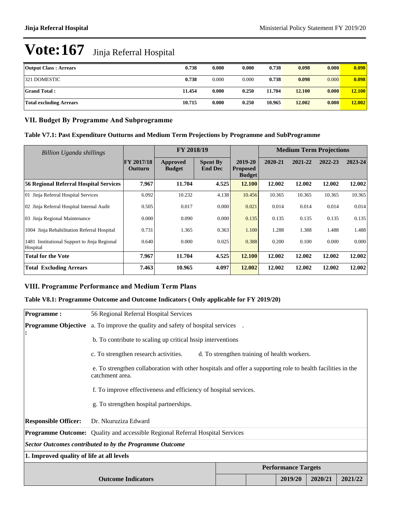| <b>Output Class: Arrears</b>   | 0.738  | 0.000 | 0.000 | 0.738  | 0.098  | 0.000 | 0.098  |
|--------------------------------|--------|-------|-------|--------|--------|-------|--------|
| 321 DOMESTIC                   | 0.738  | 0.000 | 0.000 | 0.738  | 0.098  | 0.000 | 0.098  |
| <b>Grand Total:</b>            | 11.454 | 0.000 | 0.250 | 11.704 | 12.100 | 0.000 | 12.100 |
| <b>Total excluding Arrears</b> | 10.715 | 0.000 | 0.250 | 10.965 | 12.002 | 0.000 | 12.002 |

### **VII. Budget By Programme And Subprogramme**

| Table V7.1: Past Expenditure Outturns and Medium Term Projections by Programme and SubProgramme |  |  |
|-------------------------------------------------------------------------------------------------|--|--|
|-------------------------------------------------------------------------------------------------|--|--|

| <b>Billion Uganda shillings</b>                          |                                     | FY 2018/19                |                                   |                                             | <b>Medium Term Projections</b> |         |         |         |
|----------------------------------------------------------|-------------------------------------|---------------------------|-----------------------------------|---------------------------------------------|--------------------------------|---------|---------|---------|
|                                                          | <b>FY 2017/18</b><br><b>Outturn</b> | Approved<br><b>Budget</b> | <b>Spent By</b><br><b>End Dec</b> | 2019-20<br><b>Proposed</b><br><b>Budget</b> | 2020-21                        | 2021-22 | 2022-23 | 2023-24 |
| 56 Regional Referral Hospital Services                   | 7.967                               | 11.704                    | 4.525                             | 12.100                                      | 12.002                         | 12.002  | 12.002  | 12.002  |
| 01 Jinja Referral Hospital Services                      | 6.092                               | 10.232                    | 4.138                             | 10.456                                      | 10.365                         | 10.365  | 10.365  | 10.365  |
| 02 Jinja Referral Hospital Internal Audit                | 0.505                               | 0.017                     | 0.000                             | 0.021                                       | 0.014                          | 0.014   | 0.014   | 0.014   |
| 03 Jinja Regional Maintenance                            | 0.000                               | 0.090                     | 0.000                             | 0.135                                       | 0.135                          | 0.135   | 0.135   | 0.135   |
| 1004 Jinja Rehabilitation Referral Hospital              | 0.731                               | 1.365                     | 0.363                             | 1.100                                       | 1.288                          | 1.388   | 1.488   | 1.488   |
| 1481 Institutional Support to Jinja Regional<br>Hospital | 0.640                               | 0.000                     | 0.025                             | 0.388                                       | 0.200                          | 0.100   | 0.000   | 0.000   |
| <b>Total for the Vote</b>                                | 7.967                               | 11.704                    | 4.525                             | 12.100                                      | 12.002                         | 12.002  | 12.002  | 12.002  |
| <b>Total Excluding Arrears</b>                           | 7.463                               | 10.965                    | 4.097                             | 12.002                                      | 12.002                         | 12.002  | 12.002  | 12.002  |

# **VIII. Programme Performance and Medium Term Plans**

# **Table V8.1: Programme Outcome and Outcome Indicators ( Only applicable for FY 2019/20)**

| Programme:                                | 56 Regional Referral Hospital Services                                                                                         |  |  |         |         |         |  |  |
|-------------------------------------------|--------------------------------------------------------------------------------------------------------------------------------|--|--|---------|---------|---------|--|--|
| :                                         | <b>Programme Objective</b> a. To improve the quality and safety of hospital services .                                         |  |  |         |         |         |  |  |
|                                           | b. To contribute to scaling up critical hasip interventions                                                                    |  |  |         |         |         |  |  |
|                                           | c. To strengthen research activities.<br>d. To strengthen training of health workers.                                          |  |  |         |         |         |  |  |
|                                           | e. To strengthen collaboration with other hospitals and offer a supporting role to health facilities in the<br>catchment area. |  |  |         |         |         |  |  |
|                                           | f. To improve effectiveness and efficiency of hospital services.                                                               |  |  |         |         |         |  |  |
|                                           | g. To strengthen hospital partnerships.                                                                                        |  |  |         |         |         |  |  |
| <b>Responsible Officer:</b>               | Dr. Nkuruziza Edward                                                                                                           |  |  |         |         |         |  |  |
|                                           | <b>Programme Outcome:</b> Quality and accessible Regional Referral Hospital Services                                           |  |  |         |         |         |  |  |
|                                           | Sector Outcomes contributed to by the Programme Outcome                                                                        |  |  |         |         |         |  |  |
| 1. Improved quality of life at all levels |                                                                                                                                |  |  |         |         |         |  |  |
|                                           | <b>Performance Targets</b>                                                                                                     |  |  |         |         |         |  |  |
|                                           | <b>Outcome Indicators</b>                                                                                                      |  |  | 2019/20 | 2020/21 | 2021/22 |  |  |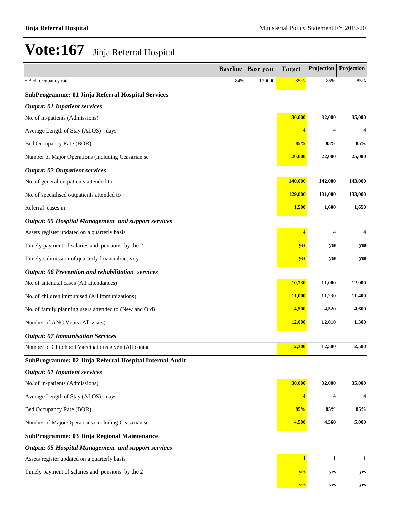|                                                            | <b>Baseline</b> | <b>Base year</b> | <b>Target</b> | Projection   | Projection |
|------------------------------------------------------------|-----------------|------------------|---------------|--------------|------------|
| • Bed occupancy rate                                       | 84%             | 129000           | 85%           | 85%          | 85%        |
| SubProgramme: 01 Jinja Referral Hospital Services          |                 |                  |               |              |            |
| <b>Output: 01 Inpatient services</b>                       |                 |                  |               |              |            |
| No. of in-patients (Admissions)                            |                 |                  | 30,000        | 32,000       | 35,000     |
| Average Length of Stay (ALOS) - days                       |                 |                  | 4             | 4            | 4          |
| Bed Occupancy Rate (BOR)                                   |                 |                  | 85%           | 85%          | 85%        |
| Number of Major Operations (including Ceasarian se         |                 |                  | 20,000        | 22,000       | 25,000     |
| <b>Output: 02 Outpatient services</b>                      |                 |                  |               |              |            |
| No. of general outpatients attended to                     |                 |                  | 140,000       | 142,000      | 143,000    |
| No. of specialised outpatients attended to                 |                 |                  | 129,000       | 131,000      | 133,000    |
| Referral cases in                                          |                 |                  | 1,500         | 1,600        | 1,650      |
| <b>Output: 05 Hospital Management and support services</b> |                 |                  |               |              |            |
| Assets register updated on a quarterly basis               |                 |                  | 4             | 4            | 4          |
| Timely payment of salaries and pensions by the 2           |                 |                  | yes           | yes          | yes        |
| Timely submission of quarterly financial/activity          |                 |                  | yes           | yes          | yes        |
| Output: 06 Prevention and rehabilitation services          |                 |                  |               |              |            |
| No. of antenatal cases (All attendances)                   |                 |                  | 10,730        | 11,000       | 12,000     |
| No. of children immunised (All immunizations)              |                 |                  | <b>11,000</b> | 11,230       | 11,400     |
| No. of family planning users attended to (New and Old)     |                 |                  | 4,500         | 4,520        | 4,600      |
| Number of ANC Visits (All visits)                          |                 |                  | <b>12,000</b> | 12,010       | 1,300      |
| <b>Output: 07 Immunisation Services</b>                    |                 |                  |               |              |            |
| Number of Childhood Vaccinations given (All contac         |                 |                  | 12,300        | 12,500       | 12,500     |
| SubProgramme: 02 Jinja Referral Hospital Internal Audit    |                 |                  |               |              |            |
| <b>Output: 01 Inpatient services</b>                       |                 |                  |               |              |            |
| No. of in-patients (Admissions)                            |                 |                  | 30,000        | 32,000       | 35,000     |
| Average Length of Stay (ALOS) - days                       |                 |                  | 4             | 4            |            |
| Bed Occupancy Rate (BOR)                                   |                 |                  | 85%           | 85%          | 85%        |
| Number of Major Operations (including Ceasarian se         |                 |                  | 4,500         | 4,560        | 5,000      |
| SubProgramme: 03 Jinja Regional Maintenance                |                 |                  |               |              |            |
| <b>Output: 05 Hospital Management and support services</b> |                 |                  |               |              |            |
| Assets register updated on a quarterly basis               |                 |                  | $\mathbf{1}$  | $\mathbf{1}$ | 1          |
| Timely payment of salaries and pensions by the 2           |                 |                  | yes           | yes          | yes        |
|                                                            |                 |                  | yes           | yes          | yes        |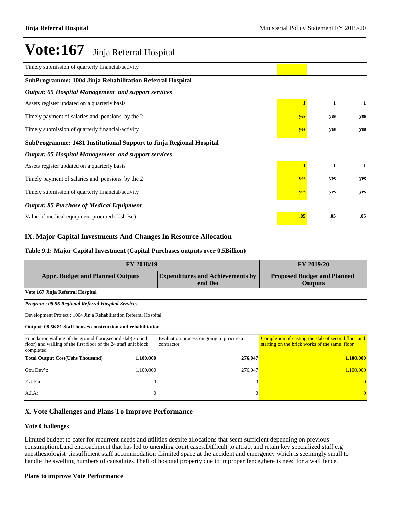| Timely submission of quarterly financial/activity                   |     |     |     |
|---------------------------------------------------------------------|-----|-----|-----|
| SubProgramme: 1004 Jinja Rehabilitation Referral Hospital           |     |     |     |
| <b>Output: 05 Hospital Management and support services</b>          |     |     |     |
| Assets register updated on a quarterly basis                        |     | 1   |     |
| Timely payment of salaries and pensions by the 2                    | yes | yes | yes |
| Timely submission of quarterly financial/activity                   | yes | yes | yes |
| SubProgramme: 1481 Institutional Support to Jinja Regional Hospital |     |     |     |
| <b>Output: 05 Hospital Management and support services</b>          |     |     |     |
| Assets register updated on a quarterly basis                        |     | 1   |     |
| Timely payment of salaries and pensions by the 2                    | yes | yes | yes |
| Timely submission of quarterly financial/activity                   | yes | yes | yes |
| <b>Output: 85 Purchase of Medical Equipment</b>                     |     |     |     |
| Value of medical equipment procured (Ush Bn)                        | .05 | .05 | .05 |

## **IX. Major Capital Investments And Changes In Resource Allocation**

## **Table 9.1: Major Capital Investment (Capital Purchases outputs over 0.5Billion)**

|                                                                                                                                              | FY 2019/20   |                                                        |                                                                                                     |
|----------------------------------------------------------------------------------------------------------------------------------------------|--------------|--------------------------------------------------------|-----------------------------------------------------------------------------------------------------|
| <b>Appr. Budget and Planned Outputs</b>                                                                                                      |              | <b>Expenditures and Achievements by</b><br>end Dec     | <b>Proposed Budget and Planned</b><br><b>Outputs</b>                                                |
| Vote 167 Jinja Referral Hospital                                                                                                             |              |                                                        |                                                                                                     |
| <b>Program: 08 56 Regional Referral Hospital Services</b>                                                                                    |              |                                                        |                                                                                                     |
| Development Project : 1004 Jinja Rehabilitation Referral Hospital                                                                            |              |                                                        |                                                                                                     |
| Output: 08 56 81 Staff houses construction and rehabilitation                                                                                |              |                                                        |                                                                                                     |
| Foundation, walling of the ground floor, second slab(ground<br>floor) and walling of the first floor of the 24 staff unit block<br>completed |              | Evaluation process on going to procure a<br>contractor | Completion of casting the slab of second floor and<br>starting on the brick works of the same floor |
| <b>Total Output Cost(Ushs Thousand)</b>                                                                                                      | 1,100,000    | 276,047                                                | 1,100,000                                                                                           |
| Gou Dev't:                                                                                                                                   | 1,100,000    | 276,047                                                | 1,100,000                                                                                           |
| Ext Fin:                                                                                                                                     | $\mathbf{0}$ | $\Omega$                                               |                                                                                                     |
| $A.I.A$ :                                                                                                                                    | $\mathbf{0}$ | $\Omega$                                               |                                                                                                     |

## **X. Vote Challenges and Plans To Improve Performance**

#### **Vote Challenges**

Limited budget to cater for recurrent needs and utilities despite allocations that seem sufficient depending on previous consumption.Land encroachment that has led to unending court cases.Difficult to attract and retain key specialized staff e.g anesthesiologist ,insufficient staff accommodation .Limited space at the accident and emergency which is seemingly small to handle the swelling numbers of causalities.Theft of hospital property due to improper fence,there is need for a wall fence.

#### **Plans to improve Vote Performance**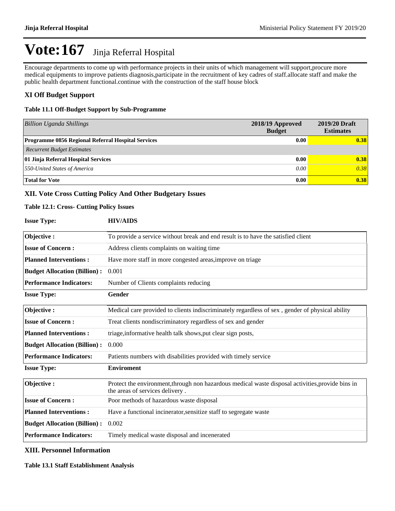Encourage departments to come up with performance projects in their units of which management will support,procure more medical equipments to improve patients diagnosis,participate in the recruitment of key cadres of staff.allocate staff and make the public health department functional.continue with the construction of the staff house block

## **XI Off Budget Support**

#### **Table 11.1 Off-Budget Support by Sub-Programme**

| <b>Billion Uganda Shillings</b>                           | 2018/19 Approved<br><b>Budget</b> | 2019/20 Draft<br><b>Estimates</b> |
|-----------------------------------------------------------|-----------------------------------|-----------------------------------|
| <b>Programme 0856 Regional Referral Hospital Services</b> | 0.00                              | 0.38                              |
| <b>Recurrent Budget Estimates</b>                         |                                   |                                   |
| 01 Jinja Referral Hospital Services                       | 0.00                              | 0.38                              |
| 550-United States of America                              | 0.00                              | 0.38                              |
| <b>Total for Vote</b>                                     | 0.00                              | 0.38                              |

#### **XII. Vote Cross Cutting Policy And Other Budgetary Issues**

#### **Table 12.1: Cross- Cutting Policy Issues**

| <b>Issue Type:</b>                                                      | <b>HIV/AIDS</b>                                                                                                                      |  |  |  |  |  |
|-------------------------------------------------------------------------|--------------------------------------------------------------------------------------------------------------------------------------|--|--|--|--|--|
| Objective:                                                              | To provide a service without break and end result is to have the satisfied client                                                    |  |  |  |  |  |
| <b>Issue of Concern:</b>                                                | Address clients complaints on waiting time                                                                                           |  |  |  |  |  |
| <b>Planned Interventions:</b>                                           | Have more staff in more congested areas, improve on triage                                                                           |  |  |  |  |  |
| <b>Budget Allocation (Billion):</b>                                     | 0.001                                                                                                                                |  |  |  |  |  |
| <b>Performance Indicators:</b><br>Number of Clients complaints reducing |                                                                                                                                      |  |  |  |  |  |
| <b>Issue Type:</b>                                                      | Gender                                                                                                                               |  |  |  |  |  |
| Objective:                                                              | Medical care provided to clients indiscriminately regardless of sex, gender of physical ability                                      |  |  |  |  |  |
| <b>Issue of Concern:</b>                                                | Treat clients nondiscriminatory regardless of sex and gender                                                                         |  |  |  |  |  |
| <b>Planned Interventions:</b>                                           | triage, informative health talk shows, put clear sign posts,                                                                         |  |  |  |  |  |
| <b>Budget Allocation (Billion):</b>                                     | 0.000                                                                                                                                |  |  |  |  |  |
| <b>Performance Indicators:</b>                                          | Patients numbers with disabilities provided with timely service                                                                      |  |  |  |  |  |
| <b>Issue Type:</b>                                                      | <b>Enviroment</b>                                                                                                                    |  |  |  |  |  |
| Objective:                                                              | Protect the environment, through non hazardous medical waste disposal activities, provide bins in<br>the areas of services delivery. |  |  |  |  |  |
| <b>Issue of Concern:</b>                                                | Poor methods of hazardous waste disposal                                                                                             |  |  |  |  |  |
| <b>Planned Interventions:</b>                                           | Have a functional incinerator, sensitize staff to segregate waste                                                                    |  |  |  |  |  |
| <b>Budget Allocation (Billion):</b>                                     | 0.002                                                                                                                                |  |  |  |  |  |
| <b>Performance Indicators:</b>                                          | Timely medical waste disposal and incenerated                                                                                        |  |  |  |  |  |

## **XIII. Personnel Information**

#### **Table 13.1 Staff Establishment Analysis**